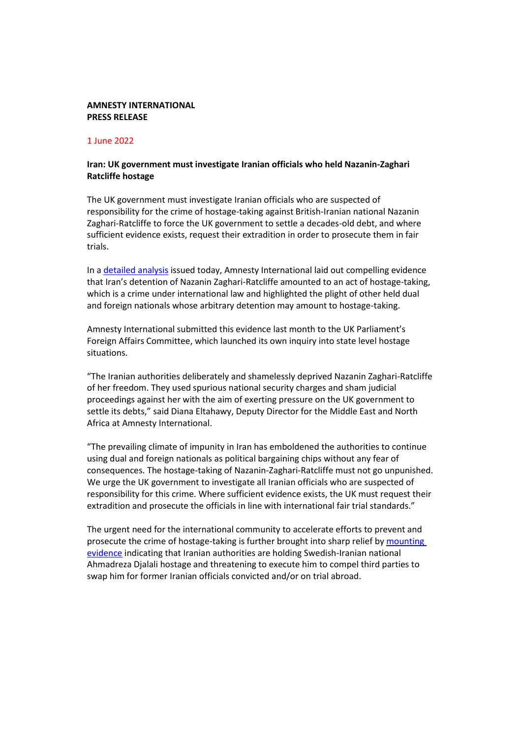## **AMNESTY INTERNATIONAL PRESS RELEASE**

## 1 June 2022

## **Iran: UK government must investigate Iranian officials who held Nazanin-Zaghari Ratcliffe hostage**

The UK government must investigate Iranian officials who are suspected of responsibility for the crime of hostage-taking against British-Iranian national Nazanin Zaghari-Ratcliffe to force the UK government to settle a decades-old debt, and where sufficient evidence exists, request their extradition in order to prosecute them in fair trials.

In a [detailed analysis](https://www.amnesty.org/en/documents/mde13/5609/2022/en/) issued today, Amnesty International laid out compelling evidence that Iran's detention of Nazanin Zaghari-Ratcliffe amounted to an act of hostage-taking, which is a crime under international law and highlighted the plight of other held dual and foreign nationals whose arbitrary detention may amount to hostage-taking.

Amnesty International submitted this evidence last month to the UK Parliament's Foreign Affairs Committee, which launched its own inquiry into state level hostage situations.

"The Iranian authorities deliberately and shamelessly deprived Nazanin Zaghari-Ratcliffe of her freedom. They used spurious national security charges and sham judicial proceedings against her with the aim of exerting pressure on the UK government to settle its debts," said Diana Eltahawy, Deputy Director for the Middle East and North Africa at Amnesty International.

"The prevailing climate of impunity in Iran has emboldened the authorities to continue using dual and foreign nationals as political bargaining chips without any fear of consequences. The hostage-taking of Nazanin-Zaghari-Ratcliffe must not go unpunished. We urge the UK government to investigate all Iranian officials who are suspected of responsibility for this crime. Where sufficient evidence exists, the UK must request their extradition and prosecute the officials in line with international fair trial standards."

The urgent need for the international community to accelerate efforts to prevent and prosecute the crime of hostage-taking is further brought into sharp relief by [mounting](https://www.amnesty.org/en/documents/mde13/5623/2022/en/)  [evidence](https://www.amnesty.org/en/documents/mde13/5623/2022/en/) indicating that Iranian authorities are holding Swedish-Iranian national Ahmadreza Djalali hostage and threatening to execute him to compel third parties to swap him for former Iranian officials convicted and/or on trial abroad.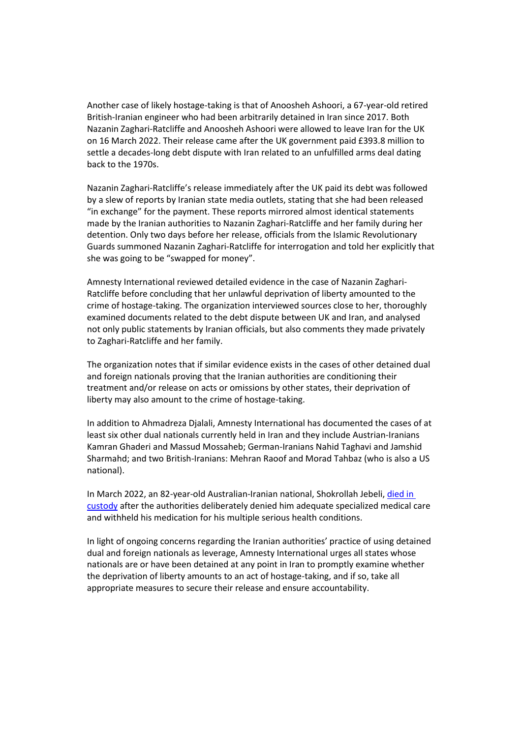Another case of likely hostage-taking is that of Anoosheh Ashoori, a 67-year-old retired British-Iranian engineer who had been arbitrarily detained in Iran since 2017. Both Nazanin Zaghari-Ratcliffe and Anoosheh Ashoori were allowed to leave Iran for the UK on 16 March 2022. Their release came after the UK government paid £393.8 million to settle a decades-long debt dispute with Iran related to an unfulfilled arms deal dating back to the 1970s.

Nazanin Zaghari-Ratcliffe's release immediately after the UK paid its debt was followed by a slew of reports by Iranian state media outlets, stating that she had been released "in exchange" for the payment. These reports mirrored almost identical statements made by the Iranian authorities to Nazanin Zaghari-Ratcliffe and her family during her detention. Only two days before her release, officials from the Islamic Revolutionary Guards summoned Nazanin Zaghari-Ratcliffe for interrogation and told her explicitly that she was going to be "swapped for money".

Amnesty International reviewed detailed evidence in the case of Nazanin Zaghari-Ratcliffe before concluding that her unlawful deprivation of liberty amounted to the crime of hostage-taking. The organization interviewed sources close to her, thoroughly examined documents related to the debt dispute between UK and Iran, and analysed not only public statements by Iranian officials, but also comments they made privately to Zaghari-Ratcliffe and her family.

The organization notes that if similar evidence exists in the cases of other detained dual and foreign nationals proving that the Iranian authorities are conditioning their treatment and/or release on acts or omissions by other states, their deprivation of liberty may also amount to the crime of hostage-taking.

In addition to Ahmadreza Djalali, Amnesty International has documented the cases of at least six other dual nationals currently held in Iran and they include Austrian-Iranians Kamran Ghaderi and Massud Mossaheb; German-Iranians Nahid Taghavi and Jamshid Sharmahd; and two British-Iranians: Mehran Raoof and Morad Tahbaz (who is also a US national).

In March 2022, an 82-year-old Australian-Iranian national, Shokrollah Jebeli[, died in](https://www.amnesty.org/en/documents/mde13/5447/2022/en/)  [custody](https://www.amnesty.org/en/documents/mde13/5447/2022/en/) after the authorities deliberately denied him adequate specialized medical care and withheld his medication for his multiple serious health conditions.

In light of ongoing concerns regarding the Iranian authorities' practice of using detained dual and foreign nationals as leverage, Amnesty International urges all states whose nationals are or have been detained at any point in Iran to promptly examine whether the deprivation of liberty amounts to an act of hostage-taking, and if so, take all appropriate measures to secure their release and ensure accountability.